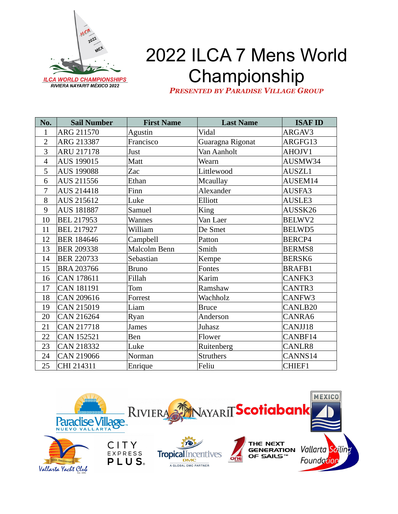

## 2022 ILCA 7 Mens World Championship

*PRESENTED BY PARADISE VILLAGE GROUP*

| No.            | <b>Sail Number</b> | <b>First Name</b> | <b>Last Name</b> | <b>ISAF ID</b> |
|----------------|--------------------|-------------------|------------------|----------------|
| $\mathbf{1}$   | ARG 211570         | Agustin           | Vidal            | ARGAV3         |
| $\overline{2}$ | ARG 213387         | Francisco         | Guaragna Rigonat | ARGFG13        |
| 3              | <b>ARU 217178</b>  | Just              | Van Aanholt      | AHOJV1         |
| $\overline{4}$ | AUS 199015         | Matt              | Wearn            | AUSMW34        |
| 5              | <b>AUS 199088</b>  | Zac               | Littlewood       | AUSZL1         |
| 6              | AUS 211556         | Ethan             | <b>Mcaullay</b>  | AUSEM14        |
| 7              | <b>AUS 214418</b>  | Finn              | Alexander        | AUSFA3         |
| 8              | AUS 215612         | Luke              | Elliott          | AUSLE3         |
| 9              | AUS 181887         | Samuel            | King             | AUSSK26        |
| 10             | <b>BEL 217953</b>  | <b>Wannes</b>     | Van Laer         | BELWV2         |
| 11             | <b>BEL 217927</b>  | William           | De Smet          | BELWD5         |
| 12             | <b>BER 184646</b>  | Campbell          | Patton           | BERCP4         |
| 13             | <b>BER 209338</b>  | Malcolm Benn      | Smith            | <b>BERMS8</b>  |
| 14             | <b>BER 220733</b>  | Sebastian         | Kempe            | <b>BERSK6</b>  |
| 15             | <b>BRA 203766</b>  | <b>Bruno</b>      | Fontes           | <b>BRAFB1</b>  |
| 16             | <b>CAN 178611</b>  | Fillah            | Karim            | CANFK3         |
| 17             | <b>CAN 181191</b>  | Tom               | Ramshaw          | CANTR3         |
| 18             | CAN 209616         | Forrest           | Wachholz         | CANFW3         |
| 19             | <b>CAN 215019</b>  | Liam              | <b>Bruce</b>     | CANLB20        |
| 20             | CAN 216264         | Ryan              | Anderson         | CANRA6         |
| 21             | <b>CAN 217718</b>  | James             | Juhasz           | CANJJ18        |
| 22             | <b>CAN 152521</b>  | Ben               | Flower           | CANBF14        |
| 23             | <b>CAN 218332</b>  | Luke              | Ruitenberg       | CANLR8         |
| 24             | CAN 219066         | Norman            | <b>Struthers</b> | CANNS14        |
| 25             | CHI 214311         | Enrique           | Feliu            | CHIEF1         |

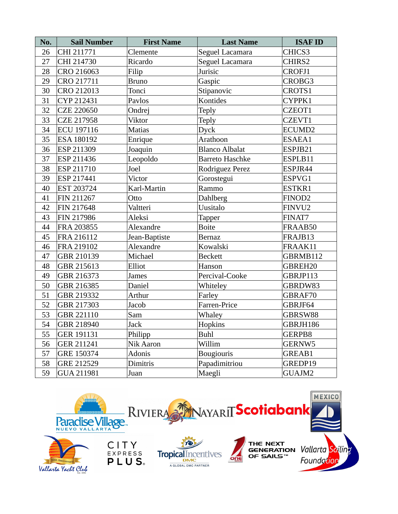| No. | <b>Sail Number</b> | <b>First Name</b> | <b>Last Name</b>       | <b>ISAF ID</b>     |
|-----|--------------------|-------------------|------------------------|--------------------|
| 26  | CHI 211771         | Clemente          | Seguel Lacamara        | CHICS3             |
| 27  | CHI 214730         | Ricardo           | Seguel Lacamara        | CHIRS2             |
| 28  | CRO 216063         | Filip             | Jurisic                | <b>CROFJ1</b>      |
| 29  | CRO 217711         | <b>Bruno</b>      | Gaspic                 | CROBG3             |
| 30  | CRO 212013         | Tonci             | Stipanovic             | CROTS1             |
| 31  | CYP 212431         | Pavlos            | Kontides               | CYPPK1             |
| 32  | <b>CZE 220650</b>  | Ondrej            | Teply                  | CZEOT1             |
| 33  | <b>CZE 217958</b>  | Viktor            | Teply                  | CZEVT1             |
| 34  | <b>ECU 197116</b>  | <b>Matias</b>     | Dyck                   | ECUMD <sub>2</sub> |
| 35  | ESA 180192         | Enrique           | Arathoon               | ESAEA1             |
| 36  | <b>ESP 211309</b>  | Joaquin           | <b>Blanco Albalat</b>  | ESPJB21            |
| 37  | ESP 211436         | Leopoldo          | <b>Barreto Haschke</b> | ESPLB11            |
| 38  | ESP 211710         | Joel              | Rodriguez Perez        | ESPJR44            |
| 39  | ESP 217441         | Victor            | Gorostegui             | ESPVG1             |
| 40  | EST 203724         | Karl-Martin       | Rammo                  | ESTKR1             |
| 41  | FIN 211267         | Otto              | <b>Dahlberg</b>        | FINOD <sub>2</sub> |
| 42  | FIN 217648         | Valtteri          | Uusitalo               | FINVU2             |
| 43  | FIN 217986         | Aleksi            | <b>Tapper</b>          | FINAT7             |
| 44  | FRA 203855         | Alexandre         | <b>Boite</b>           | FRAAB50            |
| 45  | FRA 216112         | Jean-Baptiste     | <b>Bernaz</b>          | FRAJB13            |
| 46  | FRA 219102         | Alexandre         | Kowalski               | FRAAK11            |
| 47  | GBR 210139         | Michael           | <b>Beckett</b>         | GBRMB112           |
| 48  | GBR 215613         | Elliot            | Hanson                 | GBREH20            |
| 49  | GBR 216373         | James             | Percival-Cooke         | GBRJP113           |
| 50  | GBR 216385         | Daniel            | Whiteley               | GBRDW83            |
| 51  | GBR 219332         | Arthur            | Farley                 | GBRAF70            |
| 52  | GBR 217303         | Jacob             | Farren-Price           | GBRJF64            |
| 53  | GBR 221110         | Sam               | Whaley                 | GBRSW88            |
| 54  | <b>GBR 218940</b>  | Jack              | Hopkins                | GBRJH186           |
| 55  | <b>GER 191131</b>  | Philipp           | Buhl                   | GERPB8             |
| 56  | GER 211241         | Nik Aaron         | Willim                 | GERNW5             |
| 57  | GRE 150374         | Adonis            | <b>Bougiouris</b>      | GREAB1             |
| 58  | GRE 212529         | Dimitris          | Papadimitriou          | GREDP19            |
| 59  | GUA 211981         | Juan              | Maegli                 | GUAJM2             |

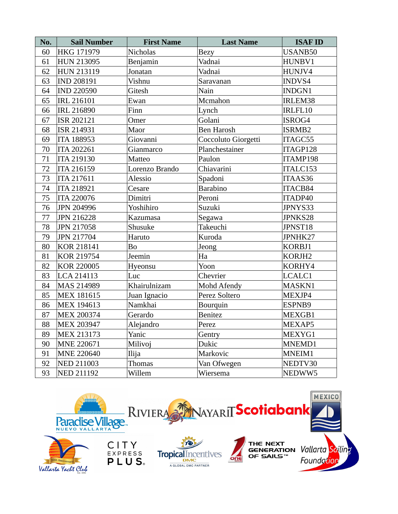| No. | <b>Sail Number</b> | <b>First Name</b> | <b>Last Name</b>    | <b>ISAF ID</b> |
|-----|--------------------|-------------------|---------------------|----------------|
| 60  | HKG 171979         | <b>Nicholas</b>   | <b>Bezy</b>         | USANB50        |
| 61  | <b>HUN 213095</b>  | Benjamin          | Vadnai              | HUNBV1         |
| 62  | <b>HUN 213119</b>  | Jonatan           | Vadnai              | HUNJV4         |
| 63  | <b>IND 208191</b>  | Vishnu            | Saravanan           | INDVS4         |
| 64  | <b>IND 220590</b>  | Gitesh            | Nain                | INDGN1         |
| 65  | <b>IRL 216101</b>  | Ewan              | Mcmahon             | IRLEM38        |
| 66  | <b>IRL 216890</b>  | Finn              | Lynch               | IRLFL10        |
| 67  | ISR 202121         | Omer              | Golani              | ISROG4         |
| 68  | ISR 214931         | Maor              | <b>Ben Harosh</b>   | ISRMB2         |
| 69  | <b>ITA 188953</b>  | Giovanni          | Coccoluto Giorgetti | ITAGC55        |
| 70  | <b>ITA 202261</b>  | Gianmarco         | Planchestainer      | ITAGP128       |
| 71  | <b>ITA 219130</b>  | Matteo            | Paulon              | ITAMP198       |
| 72  | <b>ITA 216159</b>  | Lorenzo Brando    | Chiavarini          | ITALC153       |
| 73  | <b>ITA 217611</b>  | Alessio           | Spadoni             | ITAAS36        |
| 74  | <b>ITA 218921</b>  | Cesare            | <b>Barabino</b>     | ITACB84        |
| 75  | ITA 220076         | Dimitri           | Peroni              | ITADP40        |
| 76  | <b>JPN 204996</b>  | Yoshihiro         | Suzuki              | JPNYS33        |
| 77  | <b>JPN 216228</b>  | Kazumasa          | Segawa              | JPNKS28        |
| 78  | <b>JPN 217058</b>  | Shusuke           | Takeuchi            | JPNST18        |
| 79  | JPN 217704         | Haruto            | Kuroda              | JPNHK27        |
| 80  | <b>KOR 218141</b>  | Bo                | Jeong               | KORBJ1         |
| 81  | <b>KOR 219754</b>  | Jeemin            | Ha                  | KORJH2         |
| 82  | <b>KOR 220005</b>  | Hyeonsu           | Yoon                | KORHY4         |
| 83  | LCA 214113         | Luc               | Chevrier            | LCALC1         |
| 84  | MAS 214989         | Khairulnizam      | <b>Mohd Afendy</b>  | MASKN1         |
| 85  | <b>MEX 181615</b>  | Juan Ignacio      | Perez Soltero       | MEXJP4         |
| 86  | <b>MEX 194613</b>  | Namkhai           | Bourquin            | ESPNB9         |
| 87  | <b>MEX 200374</b>  | Gerardo           | <b>Benitez</b>      | MEXGB1         |
| 88  | <b>MEX 203947</b>  | Alejandro         | Perez               | MEXAP5         |
| 89  | <b>MEX 213173</b>  | Yanic             | Gentry              | MEXYG1         |
| 90  | MNE 220671         | Milivoj           | Dukic               | MNEMD1         |
| 91  | <b>MNE 220640</b>  | Ilija             | Markovic            | MNEIM1         |
| 92  | <b>NED 211003</b>  | <b>Thomas</b>     | Van Ofwegen         | NEDTV30        |
| 93  | <b>NED 211192</b>  | Willem            | Wiersema            | NEDWW5         |